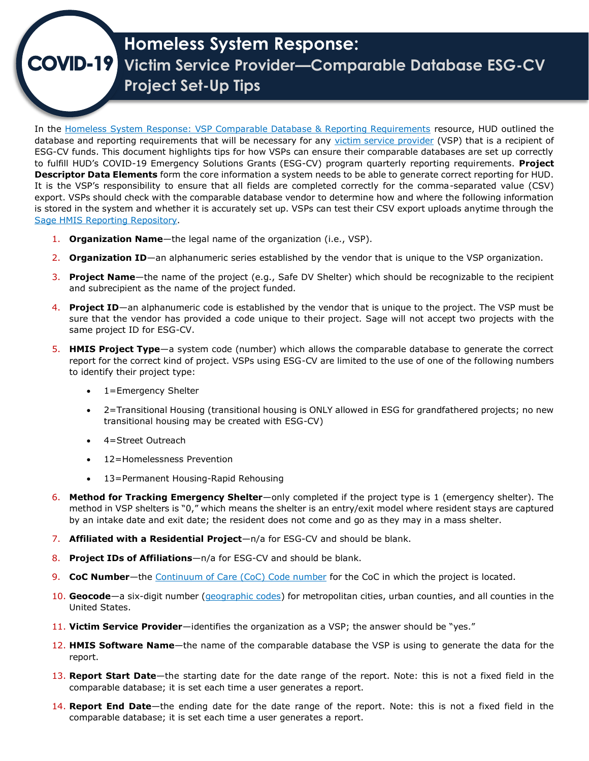## **Homeless System Response:**  $OVID-19$ **Victim Service Provider—Comparable Database ESG-CV Project Set-Up Tips**

In the [Homeless System Response: VSP Comparable Database & Reporting Requirements](https://files.hudexchange.info/resources/documents/COVID-19-Homeless-System-Response-VSP-Comparable-Database-and-Reporting-Requirements.pdf) resource, HUD outlined the database and reporting requirements that will be necessary for any [victim service provider](https://www.hudexchange.info/faqs/programs/continuum-of-care-coc-program/program-requirements/coordinated-entry/how-does-hud-define-victim-service-provider/) (VSP) that is a recipient of ESG-CV funds. This document highlights tips for how VSPs can ensure their comparable databases are set up correctly to fulfill HUD's COVID-19 Emergency Solutions Grants (ESG-CV) program quarterly reporting requirements. **Project Descriptor Data Elements** form the core information a system needs to be able to generate correct reporting for HUD. It is the VSP's responsibility to ensure that all fields are completed correctly for the comma-separated value (CSV) export. VSPs should check with the comparable database vendor to determine how and where the following information is stored in the system and whether it is accurately set up. VSPs can test their CSV export uploads anytime through the Sage HMIS Reporting Repository.

- 1. **Organization Name**—the legal name of the organization (i.e., VSP).
- 2. **Organization ID**—an alphanumeric series established by the vendor that is unique to the VSP organization.
- 3. **Project Name**—the name of the project (e.g., Safe DV Shelter) which should be recognizable to the recipient and subrecipient as the name of the project funded.
- 4. **Project ID**—an alphanumeric code is established by the vendor that is unique to the project. The VSP must be sure that the vendor has provided a code unique to their project. Sage will not accept two projects with the same project ID for ESG-CV.
- 5. **HMIS Project Type**—a system code (number) which allows the comparable database to generate the correct report for the correct kind of project. VSPs using ESG-CV are limited to the use of one of the following numbers to identify their project type:
	- 1=Emergency Shelter
	- 2=Transitional Housing (transitional housing is ONLY allowed in ESG for grandfathered projects; no new transitional housing may be created with ESG-CV)
	- 4=Street Outreach
	- 12=Homelessness Prevention
	- 13=Permanent Housing-Rapid Rehousing
- 6. **Method for Tracking Emergency Shelter**—only completed if the project type is 1 (emergency shelter). The method in VSP shelters is "0," which means the shelter is an entry/exit model where resident stays are captured by an intake date and exit date; the resident does not come and go as they may in a mass shelter.
- 7. **Affiliated with a Residential Project**—n/a for ESG-CV and should be blank.
- 8. **Project IDs of Affiliations**—n/a for ESG-CV and should be blank.
- 9. **CoC Number**—the [Continuum of Care \(CoC\) Code number](https://files.hudexchange.info/resources/documents/FY-2020-Continuums-of-Care-Names-and-Numbers.pdf) for the CoC in which the project is located.
- 10. **Geocode**—a six-digit number [\(geographic codes\)](https://www.hudexchange.info/resource/5967/fy-2020-coc-geographic-codes/) for metropolitan cities, urban counties, and all counties in the United States.
- 11. **Victim Service Provider**—identifies the organization as a VSP; the answer should be "yes."
- 12. **HMIS Software Name**—the name of the comparable database the VSP is using to generate the data for the report.
- 13. **Report Start Date**—the starting date for the date range of the report. Note: this is not a fixed field in the comparable database; it is set each time a user generates a report.
- 14. **Report End Date**—the ending date for the date range of the report. Note: this is not a fixed field in the comparable database; it is set each time a user generates a report.